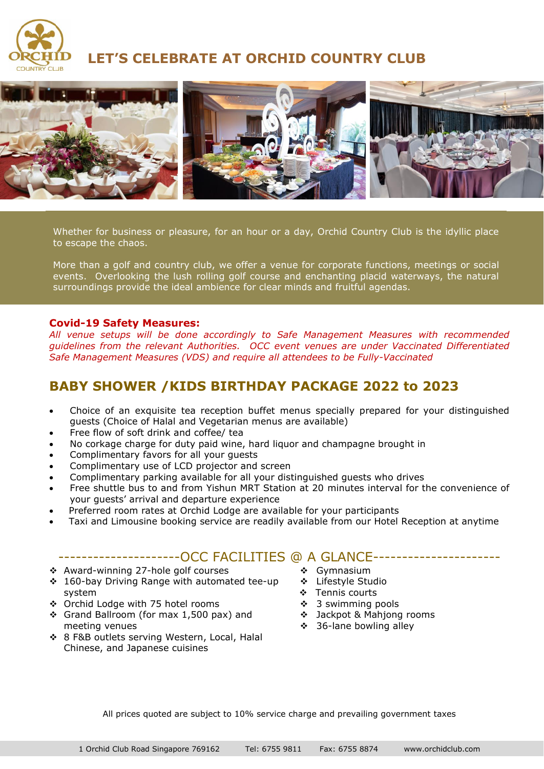

**LET'S CELEBRATE AT ORCHID COUNTRY CLUB**



Whether for business or pleasure, for an hour or a day, Orchid Country Club is the idyllic place to escape the chaos.

More than a golf and country club, we offer a venue for corporate functions, meetings or social events. Overlooking the lush rolling golf course and enchanting placid waterways, the natural surroundings provide the ideal ambience for clear minds and fruitful agendas.

## **Covid-19 Safety Measures:**

*All venue setups will be done accordingly to Safe Management Measures with recommended guidelines from the relevant Authorities. OCC event venues are under Vaccinated Differentiated Safe Management Measures (VDS) and require all attendees to be Fully-Vaccinated*

# **BABY SHOWER /KIDS BIRTHDAY PACKAGE 2022 to 2023**

- Choice of an exquisite tea reception buffet menus specially prepared for your distinguished guests (Choice of Halal and Vegetarian menus are available)
- Free flow of soft drink and coffee/ tea
- No corkage charge for duty paid wine, hard liquor and champagne brought in
- Complimentary favors for all your guests
- Complimentary use of LCD projector and screen
- Complimentary parking available for all your distinguished guests who drives
- Free shuttle bus to and from Yishun MRT Station at 20 minutes interval for the convenience of your guests' arrival and departure experience
- Preferred room rates at Orchid Lodge are available for your participants
- Taxi and Limousine booking service are readily available from our Hotel Reception at anytime

# ----------------------OCC FACILITIES @ A GLANCE----------------------

- ❖ Award-winning 27-hole golf courses
- ❖ 160-bay Driving Range with automated tee-up system
- ❖ Orchid Lodge with 75 hotel rooms
- ❖ Grand Ballroom (for max 1,500 pax) and meeting venues
- ❖ 8 F&B outlets serving Western, Local, Halal Chinese, and Japanese cuisines
- ❖ Gymnasium
- ❖ Lifestyle Studio
- ❖ Tennis courts
- ❖ 3 swimming pools
- ❖ Jackpot & Mahjong rooms
	- ❖ 36-lane bowling alley

All prices quoted are subject to 10% service charge and prevailing government taxes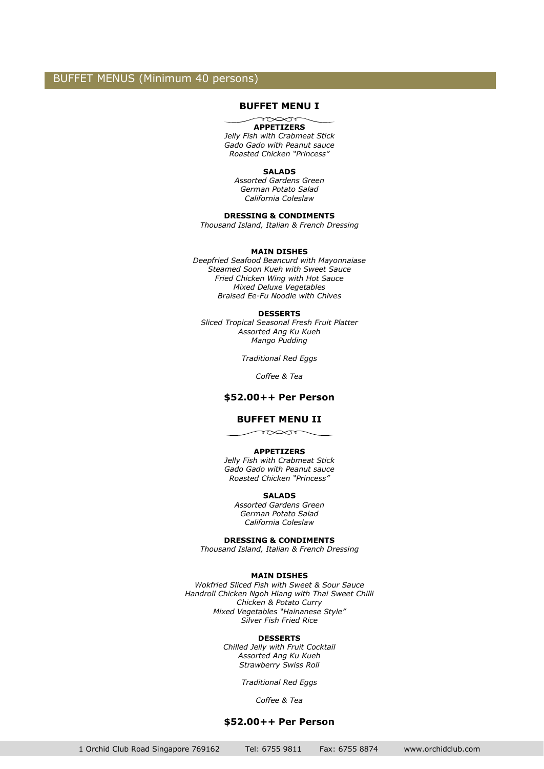## BUFFET MENUS (Minimum 40 persons)

### **BUFFET MENU I**

#### $\overbrace{\phantom{137281}}^{\text{max}}$ **APPETIZERS**

*Jelly Fish with Crabmeat Stick Gado Gado with Peanut sauce Roasted Chicken "Princess"*

#### **SALADS**

*Assorted Gardens Green German Potato Salad California Coleslaw*

### **DRESSING & CONDIMENTS**

*Thousand Island, Italian & French Dressing*

#### **MAIN DISHES**

*Deepfried Seafood Beancurd with Mayonnaiase Steamed Soon Kueh with Sweet Sauce Fried Chicken Wing with Hot Sauce Mixed Deluxe Vegetables Braised Ee-Fu Noodle with Chives*

#### **DESSERTS**

*Sliced Tropical Seasonal Fresh Fruit Platter Assorted Ang Ku Kueh Mango Pudding*

*Traditional Red Eggs*

*Coffee & Tea*

### **\$52.00++ Per Person**

#### **BUFFET MENU II**

 $\curvearrowleft$ 

#### **APPETIZERS**

*Jelly Fish with Crabmeat Stick Gado Gado with Peanut sauce Roasted Chicken "Princess"*

#### **SALADS**

*Assorted Gardens Green German Potato Salad California Coleslaw*

#### **DRESSING & CONDIMENTS**

*Thousand Island, Italian & French Dressing*

#### **MAIN DISHES**

*Wokfried Sliced Fish with Sweet & Sour Sauce Handroll Chicken Ngoh Hiang with Thai Sweet Chilli Chicken & Potato Curry Mixed Vegetables "Hainanese Style" Silver Fish Fried Rice*

#### **DESSERTS**

*Chilled Jelly with Fruit Cocktail Assorted Ang Ku Kueh Strawberry Swiss Roll*

*Traditional Red Eggs*

*Coffee & Tea*

#### **\$52.00++ Per Person**